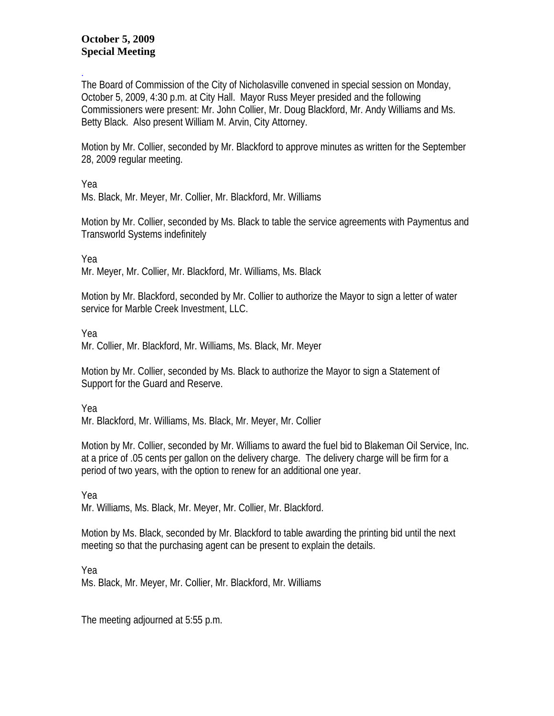## **October 5, 2009 Special Meeting**

. The Board of Commission of the City of Nicholasville convened in special session on Monday, October 5, 2009, 4:30 p.m. at City Hall. Mayor Russ Meyer presided and the following Commissioners were present: Mr. John Collier, Mr. Doug Blackford, Mr. Andy Williams and Ms. Betty Black. Also present William M. Arvin, City Attorney.

Motion by Mr. Collier, seconded by Mr. Blackford to approve minutes as written for the September 28, 2009 regular meeting.

Yea

Ms. Black, Mr. Meyer, Mr. Collier, Mr. Blackford, Mr. Williams

Motion by Mr. Collier, seconded by Ms. Black to table the service agreements with Paymentus and Transworld Systems indefinitely

Yea

Mr. Meyer, Mr. Collier, Mr. Blackford, Mr. Williams, Ms. Black

Motion by Mr. Blackford, seconded by Mr. Collier to authorize the Mayor to sign a letter of water service for Marble Creek Investment, LLC.

Yea

Mr. Collier, Mr. Blackford, Mr. Williams, Ms. Black, Mr. Meyer

Motion by Mr. Collier, seconded by Ms. Black to authorize the Mayor to sign a Statement of Support for the Guard and Reserve.

Yea

Mr. Blackford, Mr. Williams, Ms. Black, Mr. Meyer, Mr. Collier

Motion by Mr. Collier, seconded by Mr. Williams to award the fuel bid to Blakeman Oil Service, Inc. at a price of .05 cents per gallon on the delivery charge. The delivery charge will be firm for a period of two years, with the option to renew for an additional one year.

Yea Mr. Williams, Ms. Black, Mr. Meyer, Mr. Collier, Mr. Blackford.

Motion by Ms. Black, seconded by Mr. Blackford to table awarding the printing bid until the next meeting so that the purchasing agent can be present to explain the details.

Yea Ms. Black, Mr. Meyer, Mr. Collier, Mr. Blackford, Mr. Williams

The meeting adjourned at 5:55 p.m.